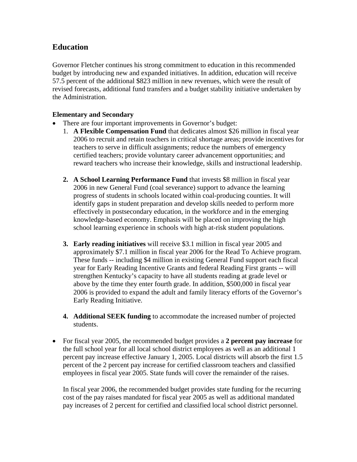## **Education**

Governor Fletcher continues his strong commitment to education in this recommended budget by introducing new and expanded initiatives. In addition, education will receive 57.5 percent of the additional \$823 million in new revenues, which were the result of revised forecasts, additional fund transfers and a budget stability initiative undertaken by the Administration.

## **Elementary and Secondary**

- There are four important improvements in Governor's budget:
	- 1. **A Flexible Compensation Fund** that dedicates almost \$26 million in fiscal year 2006 to recruit and retain teachers in critical shortage areas; provide incentives for teachers to serve in difficult assignments; reduce the numbers of emergency certified teachers; provide voluntary career advancement opportunities; and reward teachers who increase their knowledge, skills and instructional leadership.
	- **2. A School Learning Performance Fund** that invests \$8 million in fiscal year 2006 in new General Fund (coal severance) support to advance the learning progress of students in schools located within coal-producing counties. It will identify gaps in student preparation and develop skills needed to perform more effectively in postsecondary education, in the workforce and in the emerging knowledge-based economy. Emphasis will be placed on improving the high school learning experience in schools with high at-risk student populations.
	- **3. Early reading initiatives** will receive \$3.1 million in fiscal year 2005 and approximately \$7.1 million in fiscal year 2006 for the Read To Achieve program. These funds -- including \$4 million in existing General Fund support each fiscal year for Early Reading Incentive Grants and federal Reading First grants -- will strengthen Kentucky's capacity to have all students reading at grade level or above by the time they enter fourth grade. In addition, \$500,000 in fiscal year 2006 is provided to expand the adult and family literacy efforts of the Governor's Early Reading Initiative.
	- **4. Additional SEEK funding** to accommodate the increased number of projected students.
- For fiscal year 2005, the recommended budget provides a **2 percent pay increase** for the full school year for all local school district employees as well as an additional 1 percent pay increase effective January 1, 2005. Local districts will absorb the first 1.5 percent of the 2 percent pay increase for certified classroom teachers and classified employees in fiscal year 2005. State funds will cover the remainder of the raises.

In fiscal year 2006, the recommended budget provides state funding for the recurring cost of the pay raises mandated for fiscal year 2005 as well as additional mandated pay increases of 2 percent for certified and classified local school district personnel.